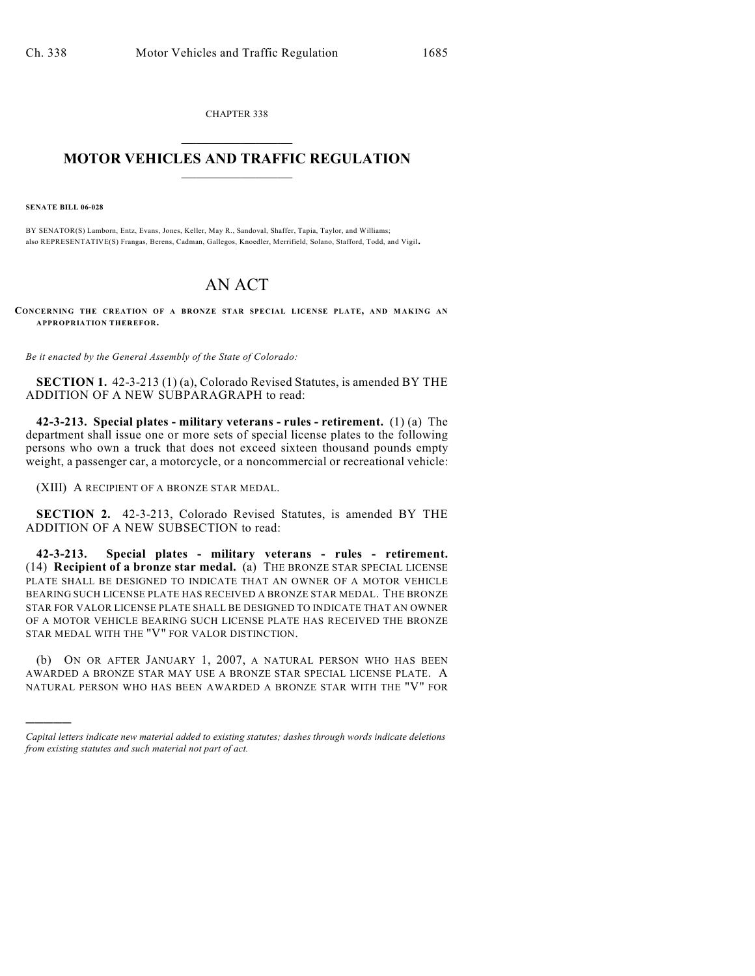CHAPTER 338

## $\mathcal{L}_\text{max}$  . The set of the set of the set of the set of the set of the set of the set of the set of the set of the set of the set of the set of the set of the set of the set of the set of the set of the set of the set **MOTOR VEHICLES AND TRAFFIC REGULATION**  $\frac{1}{2}$  ,  $\frac{1}{2}$  ,  $\frac{1}{2}$  ,  $\frac{1}{2}$  ,  $\frac{1}{2}$  ,  $\frac{1}{2}$  ,  $\frac{1}{2}$  ,  $\frac{1}{2}$

**SENATE BILL 06-028**

)))))

BY SENATOR(S) Lamborn, Entz, Evans, Jones, Keller, May R., Sandoval, Shaffer, Tapia, Taylor, and Williams; also REPRESENTATIVE(S) Frangas, Berens, Cadman, Gallegos, Knoedler, Merrifield, Solano, Stafford, Todd, and Vigil.

## AN ACT

**CONCERNING THE CREATION OF A BRONZE STAR SPECIAL LICENSE PLATE, AND M AKING AN APPROPRIATION THEREFOR.**

*Be it enacted by the General Assembly of the State of Colorado:*

**SECTION 1.** 42-3-213 (1) (a), Colorado Revised Statutes, is amended BY THE ADDITION OF A NEW SUBPARAGRAPH to read:

**42-3-213. Special plates - military veterans - rules - retirement.** (1) (a) The department shall issue one or more sets of special license plates to the following persons who own a truck that does not exceed sixteen thousand pounds empty weight, a passenger car, a motorcycle, or a noncommercial or recreational vehicle:

(XIII) A RECIPIENT OF A BRONZE STAR MEDAL.

**SECTION 2.** 42-3-213, Colorado Revised Statutes, is amended BY THE ADDITION OF A NEW SUBSECTION to read:

**42-3-213. Special plates - military veterans - rules - retirement.** (14) **Recipient of a bronze star medal.** (a) THE BRONZE STAR SPECIAL LICENSE PLATE SHALL BE DESIGNED TO INDICATE THAT AN OWNER OF A MOTOR VEHICLE BEARING SUCH LICENSE PLATE HAS RECEIVED A BRONZE STAR MEDAL. THE BRONZE STAR FOR VALOR LICENSE PLATE SHALL BE DESIGNED TO INDICATE THAT AN OWNER OF A MOTOR VEHICLE BEARING SUCH LICENSE PLATE HAS RECEIVED THE BRONZE STAR MEDAL WITH THE "V" FOR VALOR DISTINCTION.

(b) ON OR AFTER JANUARY 1, 2007, A NATURAL PERSON WHO HAS BEEN AWARDED A BRONZE STAR MAY USE A BRONZE STAR SPECIAL LICENSE PLATE. A NATURAL PERSON WHO HAS BEEN AWARDED A BRONZE STAR WITH THE "V" FOR

*Capital letters indicate new material added to existing statutes; dashes through words indicate deletions from existing statutes and such material not part of act.*